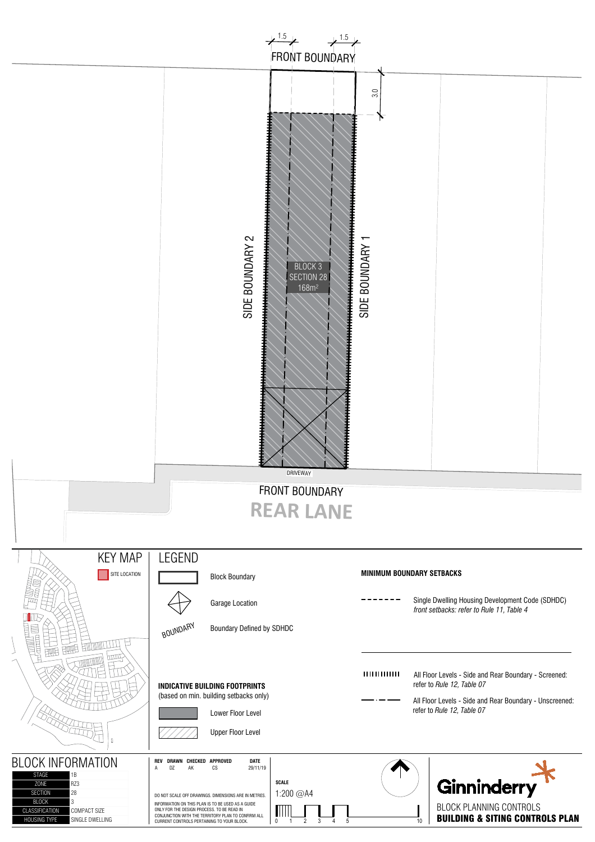